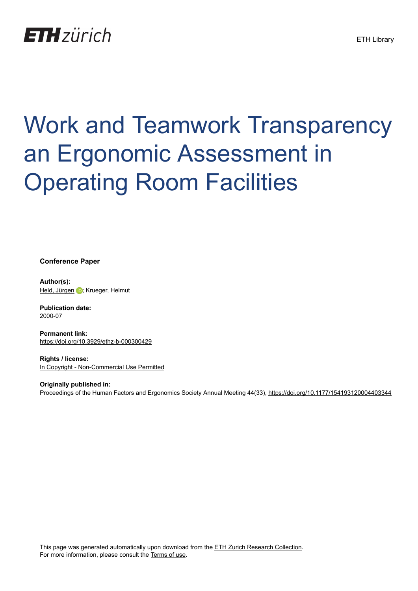## **ETH** zürich

# Work and Teamwork Transparency an Ergonomic Assessment in **Operating Room Facilities**

#### **Conference Paper**

**Author(s):** [Held, Jürgen](https://orcid.org/0000-0003-0354-3302) D; Krueger, Helmut

**Publication date:** 2000-07

**Permanent link:** <https://doi.org/10.3929/ethz-b-000300429>

**Rights / license:** [In Copyright - Non-Commercial Use Permitted](http://rightsstatements.org/page/InC-NC/1.0/)

**Originally published in:** Proceedings of the Human Factors and Ergonomics Society Annual Meeting 44(33),<https://doi.org/10.1177/154193120004403344>

This page was generated automatically upon download from the [ETH Zurich Research Collection.](https://www.research-collection.ethz.ch) For more information, please consult the [Terms of use](https://www.research-collection.ethz.ch/terms-of-use).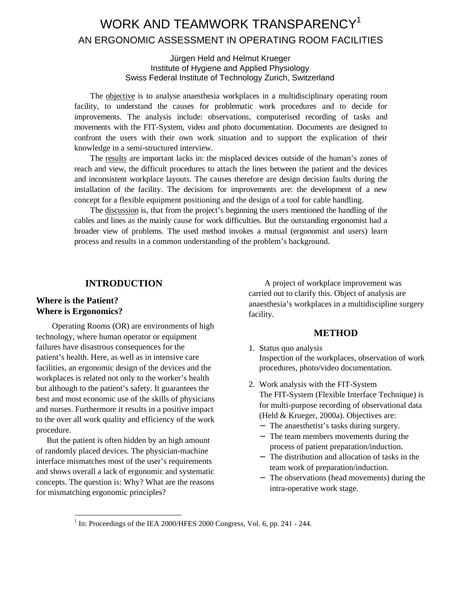### WORK AND TEAMWORK TRANSPARENCY<sup>1</sup> AN ERGONOMIC ASSESSMENT IN OPERATING ROOM FACILITIES

#### Jürgen Held and Helmut Krueger Institute of Hygiene and Applied Physiology Swiss Federal Institute of Technology Zurich, Switzerland

The objective is to analyse anaesthesia workplaces in a multidisciplinary operating room facility, to understand the causes for problematic work procedures and to decide for improvements. The analysis include: observations, computerised recording of tasks and movements with the FIT-System, video and photo documentation. Documents are designed to confront the users with their own work situation and to support the explication of their knowledge in a semi-structured interview.

The results are important lacks in: the misplaced devices outside of the human's zones of reach and view, the difficult procedures to attach the lines between the patient and the devices and inconsistent workplace layouts. The causes therefore are design decision faults during the installation of the facility. The decisions for improvements are: the development of a new concept for a flexible equipment positioning and the design of a tool for cable handling.

The discussion is, that from the project's beginning the users mentioned the handling of the cables and lines as the mainly cause for work difficulties. But the outstanding ergonomist had a broader view of problems. The used method invokes a mutual (ergonomist and users) learn process and results in a common understanding of the problem's background.

#### **INTRODUCTION**

#### **Where is the Patient? Where is Ergonomics?**

Operating Rooms (OR) are environments of high technology, where human operator or equipment failures have disastrous consequences for the patient's health. Here, as well as in intensive care facilities, an ergonomic design of the devices and the workplaces is related not only to the worker's health but although to the patient's safety. It guarantees the best and most economic use of the skills of physicians and nurses. Furthermore it results in a positive impact to the over all work quality and efficiency of the work procedure.

But the patient is often hidden by an high amount of randomly placed devices. The physician-machine interface mismatches most of the user's requirements and shows overall a lack of ergonomic and systematic concepts. The question is: Why? What are the reasons for mismatching ergonomic principles?

A project of workplace improvement was carried out to clarify this. Object of analysis are anaesthesia's workplaces in a multidiscipline surgery facility.

#### **METHOD**

- 1. Status quo analysis Inspection of the workplaces, observation of work procedures, photo/video documentation.
- 2. Work analysis with the FIT-System The FIT-System (Flexible Interface Technique) is for multi-purpose recording of observational data (Held & Krueger, 2000a). Objectives are:
	- − The anaesthetist's tasks during surgery.
	- − The team members movements during the process of patient preparation/induction.
	- − The distribution and allocation of tasks in the team work of preparation/induction.
	- − The observations (head movements) during the intra-operative work stage.

<sup>&</sup>lt;sup>1</sup> In: Proceedings of the IEA 2000/HFES 2000 Congress, Vol. 6, pp. 241 - 244.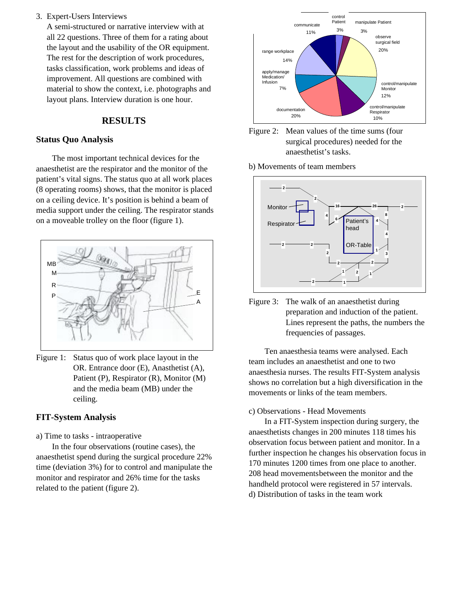#### 3. Expert-Users Interviews

A semi-structured or narrative interview with at all 22 questions. Three of them for a rating about the layout and the usability of the OR equipment. The rest for the description of work procedures, tasks classification, work problems and ideas of improvement. All questions are combined with material to show the context, i.e. photographs and layout plans. Interview duration is one hour.

#### **RESULTS**

#### **Status Quo Analysis**

The most important technical devices for the anaesthetist are the respirator and the monitor of the patient's vital signs. The status quo at all work places (8 operating rooms) shows, that the monitor is placed on a ceiling device. It's position is behind a beam of media support under the ceiling. The respirator stands on a moveable trolley on the floor (figure 1).



Figure 1: Status quo of work place layout in the OR. Entrance door (E), Anasthetist (A), Patient (P), Respirator (R), Monitor (M) and the media beam (MB) under the ceiling.

#### **FIT-System Analysis**

a) Time to tasks - intraoperative

In the four observations (routine cases), the anaesthetist spend during the surgical procedure 22% time (deviation 3%) for to control and manipulate the monitor and respirator and 26% time for the tasks related to the patient (figure 2).





b) Movements of team members



Figure 3: The walk of an anaesthetist during preparation and induction of the patient. Lines represent the paths, the numbers the frequencies of passages.

Ten anaesthesia teams were analysed. Each team includes an anaesthetist and one to two anaesthesia nurses. The results FIT-System analysis shows no correlation but a high diversification in the movements or links of the team members.

#### c) Observations - Head Movements

In a FIT-System inspection during surgery, the anaesthetists changes in 200 minutes 118 times his observation focus between patient and monitor. In a further inspection he changes his observation focus in 170 minutes 1200 times from one place to another. 208 head movementsbetween the monitor and the handheld protocol were registered in 57 intervals. d) Distribution of tasks in the team work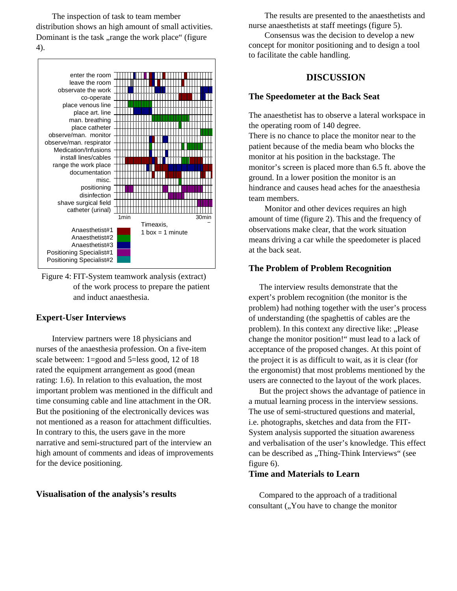The inspection of task to team member distribution shows an high amount of small activities. Dominant is the task, range the work place" (figure 4).



Figure 4: FIT-System teamwork analysis (extract) of the work process to prepare the patient and induct anaesthesia.

#### **Expert-User Interviews**

Interview partners were 18 physicians and nurses of the anaesthesia profession. On a five-item scale between: 1=good and 5=less good, 12 of 18 rated the equipment arrangement as good (mean rating: 1.6). In relation to this evaluation, the most important problem was mentioned in the difficult and time consuming cable and line attachment in the OR. But the positioning of the electronically devices was not mentioned as a reason for attachment difficulties. In contrary to this, the users gave in the more narrative and semi-structured part of the interview an high amount of comments and ideas of improvements for the device positioning.

#### **Visualisation of the analysis's results**

The results are presented to the anaesthetists and nurse anaesthetists at staff meetings (figure 5).

Consensus was the decision to develop a new concept for monitor positioning and to design a tool to facilitate the cable handling.

#### **DISCUSSION**

#### **The Speedometer at the Back Seat**

The anaesthetist has to observe a lateral workspace in the operating room of 140 degree.

There is no chance to place the monitor near to the patient because of the media beam who blocks the monitor at his position in the backstage. The monitor's screen is placed more than 6.5 ft. above the ground. In a lower position the monitor is an hindrance and causes head aches for the anaesthesia team members.

Monitor and other devices requires an high amount of time (figure 2). This and the frequency of observations make clear, that the work situation means driving a car while the speedometer is placed at the back seat.

#### **The Problem of Problem Recognition**

The interview results demonstrate that the expert's problem recognition (the monitor is the problem) had nothing together with the user's process of understanding (the spaghettis of cables are the problem). In this context any directive like: "Please change the monitor position!" must lead to a lack of acceptance of the proposed changes. At this point of the project it is as difficult to wait, as it is clear (for the ergonomist) that most problems mentioned by the users are connected to the layout of the work places.

But the project shows the advantage of patience in a mutual learning process in the interview sessions. The use of semi-structured questions and material, i.e. photographs, sketches and data from the FIT-System analysis supported the situation awareness and verbalisation of the user's knowledge. This effect can be described as "Thing-Think Interviews" (see figure 6).

#### **Time and Materials to Learn**

Compared to the approach of a traditional consultant ("You have to change the monitor"